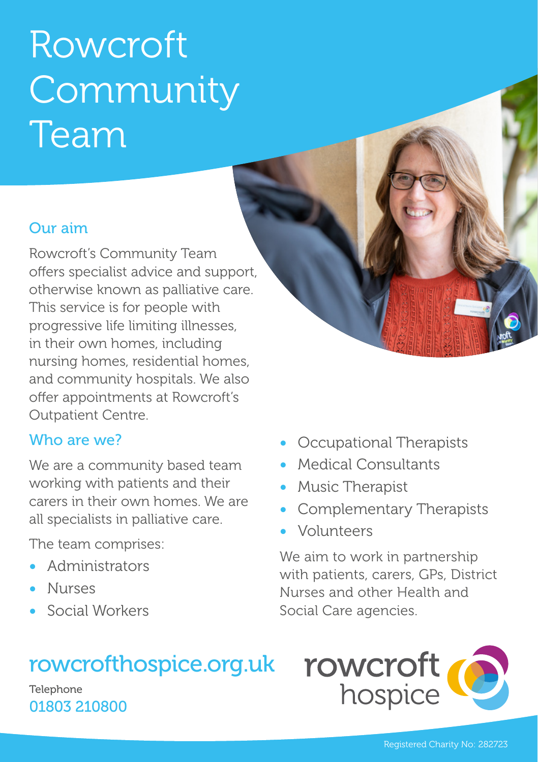# Rowcroft Community Team

### Our aim

Rowcroft's Community Team offers specialist advice and support, otherwise known as palliative care. This service is for people with progressive life limiting illnesses, in their own homes, including nursing homes, residential homes, and community hospitals. We also offer appointments at Rowcroft's Outpatient Centre.

#### Who are we?

We are a community based team working with patients and their carers in their own homes. We are all specialists in palliative care.

The team comprises:

- Administrators
- Nurses
- Social Workers

## rowcrofthospice.org.uk

**Telephone** 01803 210800

- Occupational Therapists
- Medical Consultants
- Music Therapist
- Complementary Therapists
- Volunteers

We aim to work in partnership with patients, carers, GPs, District Nurses and other Health and Social Care agencies.